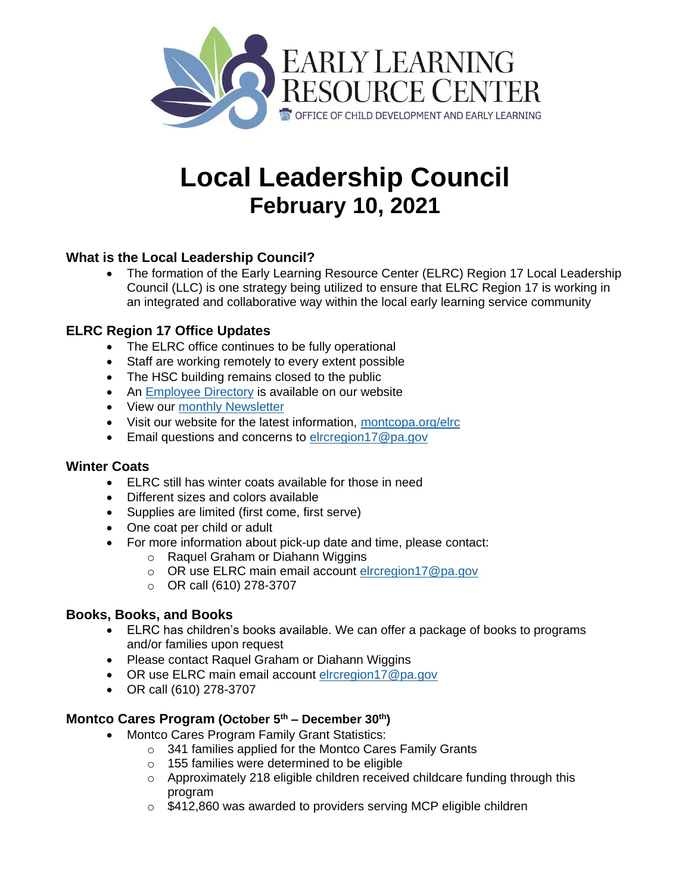

# **Local Leadership Council February 10, 2021**

# **What is the Local Leadership Council?**

 The formation of the Early Learning Resource Center (ELRC) Region 17 Local Leadership Council (LLC) is one strategy being utilized to ensure that ELRC Region 17 is working in an integrated and collaborative way within the local early learning service community

# **ELRC Region 17 Office Updates**

- The ELRC office continues to be fully operational
- Staff are working remotely to every extent possible
- The HSC building remains closed to the public
- An [Employee Directory](https://www.montcopa.org/3171/Employee-Directory) is available on our website
- View our [monthly Newsletter](https://www.montcopa.org/DocumentCenter/View/24001/ELRC-Newsletter)
- Visit our website for the latest information, [montcopa.org/elrc](https://www.montcopa.org/elrc)
- **Email questions and concerns to [elrcregion17@pa.gov](mailto:elrcregion17@pa.gov)**

#### **Winter Coats**

- ELRC still has winter coats available for those in need
- Different sizes and colors available
- Supplies are limited (first come, first serve)
- One coat per child or adult
- For more information about pick-up date and time, please contact:
	- o Raquel Graham or Diahann Wiggins
	- o OR use ELRC main email account [elrcregion17@pa.gov](mailto:elrcregion17@pa.gov)
	- o OR call (610) 278-3707

#### **Books, Books, and Books**

- ELRC has children's books available. We can offer a package of books to programs and/or families upon request
- Please contact Raquel Graham or Diahann Wiggins
- OR use ELRC main email account [elrcregion17@pa.gov](mailto:elrcregion17@pa.gov)
- OR call (610) 278-3707

# **Montco Cares Program (October 5th – December 30th)**

- Montco Cares Program Family Grant Statistics:
	- o 341 families applied for the Montco Cares Family Grants
	- o 155 families were determined to be eligible
	- $\circ$  Approximately 218 eligible children received childcare funding through this program
	- o \$412,860 was awarded to providers serving MCP eligible children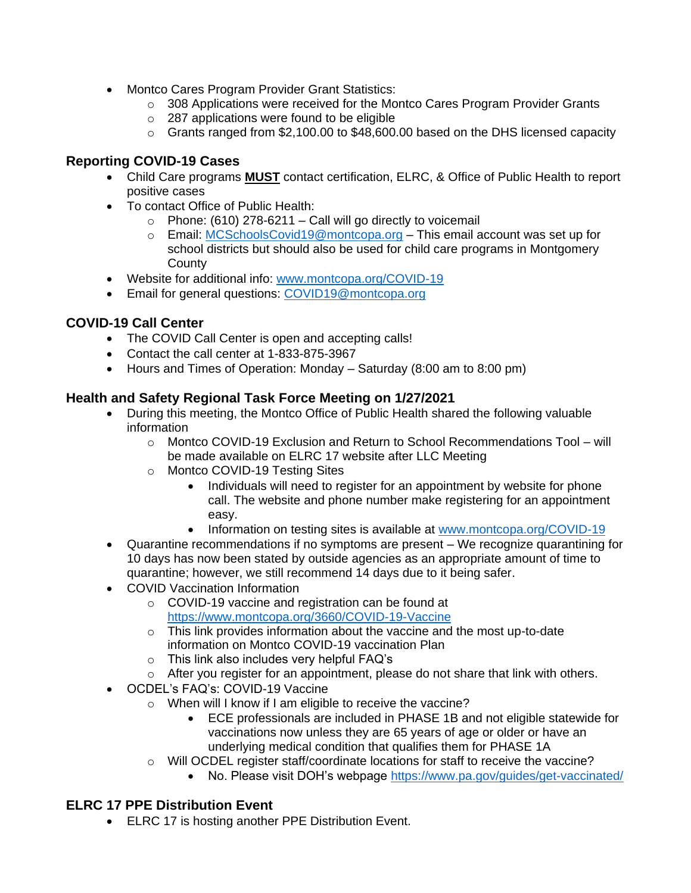- Montco Cares Program Provider Grant Statistics:
	- $\circ$  308 Applications were received for the Montco Cares Program Provider Grants
	- o 287 applications were found to be eligible
	- $\circ$  Grants ranged from \$2,100.00 to \$48,600.00 based on the DHS licensed capacity

#### **Reporting COVID-19 Cases**

- Child Care programs **MUST** contact certification, ELRC, & Office of Public Health to report positive cases
- To contact Office of Public Health:
	- $\circ$  Phone: (610) 278-6211 Call will go directly to voicemail
	- o Email: [MCSchoolsCovid19@montcopa.org](mailto:MCSchoolsCovid19@montcopa.org) This email account was set up for school districts but should also be used for child care programs in Montgomery **County**
- Website for additional info: [www.montcopa.org/COVID-19](http://www.montcopa.org/COVID-19)
- Email for general questions: [COVID19@montcopa.org](mailto:COVID19@montcopa.org)

# **COVID-19 Call Center**

- The COVID Call Center is open and accepting calls!
- Contact the call center at 1-833-875-3967
- Hours and Times of Operation: Monday Saturday (8:00 am to 8:00 pm)

#### **Health and Safety Regional Task Force Meeting on 1/27/2021**

- During this meeting, the Montco Office of Public Health shared the following valuable information
	- o Montco COVID-19 Exclusion and Return to School Recommendations Tool will be made available on ELRC 17 website after LLC Meeting
	- o Montco COVID-19 Testing Sites
		- Individuals will need to register for an appointment by website for phone call. The website and phone number make registering for an appointment easy.
		- Information on testing sites is available at [www.montcopa.org/COVID-19](http://www.montcopa.org/COVID-19)
- Quarantine recommendations if no symptoms are present We recognize quarantining for 10 days has now been stated by outside agencies as an appropriate amount of time to quarantine; however, we still recommend 14 days due to it being safer.
- COVID Vaccination Information
	- o COVID-19 vaccine and registration can be found at <https://www.montcopa.org/3660/COVID-19-Vaccine>
	- o This link provides information about the vaccine and the most up-to-date information on Montco COVID-19 vaccination Plan
	- o This link also includes very helpful FAQ's
	- $\circ$  After you register for an appointment, please do not share that link with others.
- OCDEL's FAQ's: COVID-19 Vaccine
	- o When will I know if I am eligible to receive the vaccine?
		- ECE professionals are included in PHASE 1B and not eligible statewide for vaccinations now unless they are 65 years of age or older or have an underlying medical condition that qualifies them for PHASE 1A
	- $\circ$  Will OCDEL register staff/coordinate locations for staff to receive the vaccine?
		- No. Please visit DOH's webpage<https://www.pa.gov/guides/get-vaccinated/>

# **ELRC 17 PPE Distribution Event**

ELRC 17 is hosting another PPE Distribution Event.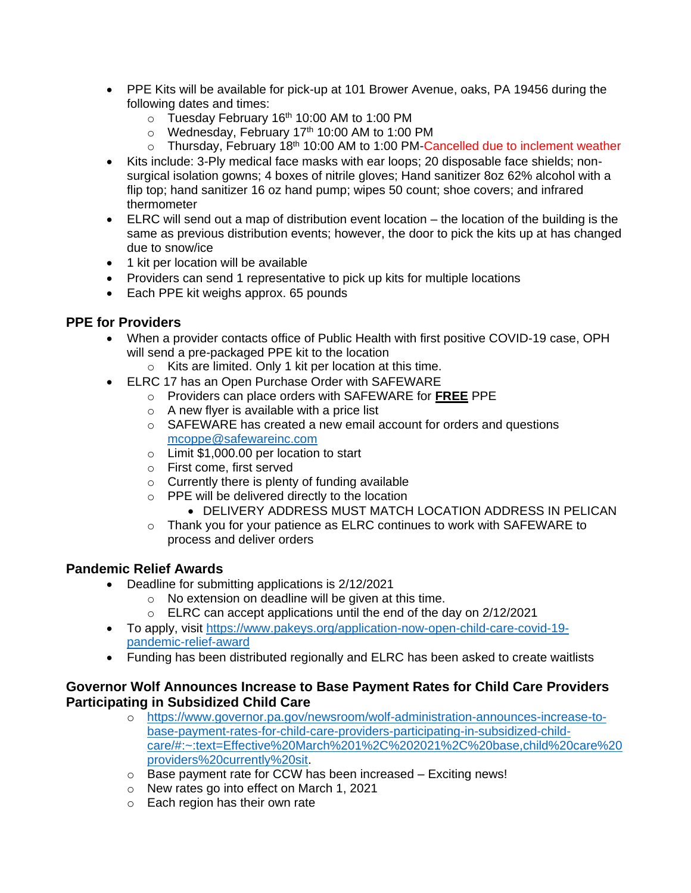- PPE Kits will be available for pick-up at 101 Brower Avenue, oaks, PA 19456 during the following dates and times:
	- o Tuesday February 16<sup>th</sup> 10:00 AM to 1:00 PM
	- $\circ$  Wednesday, February 17<sup>th</sup> 10:00 AM to 1:00 PM
	- $\circ$  Thursday, February 18<sup>th</sup> 10:00 AM to 1:00 PM-Cancelled due to inclement weather
- Kits include: 3-Ply medical face masks with ear loops; 20 disposable face shields; nonsurgical isolation gowns; 4 boxes of nitrile gloves; Hand sanitizer 8oz 62% alcohol with a flip top; hand sanitizer 16 oz hand pump; wipes 50 count; shoe covers; and infrared thermometer
- ELRC will send out a map of distribution event location the location of the building is the same as previous distribution events; however, the door to pick the kits up at has changed due to snow/ice
- 1 kit per location will be available
- Providers can send 1 representative to pick up kits for multiple locations
- Each PPE kit weighs approx. 65 pounds

#### **PPE for Providers**

- When a provider contacts office of Public Health with first positive COVID-19 case, OPH will send a pre-packaged PPE kit to the location
	- o Kits are limited. Only 1 kit per location at this time.
- ELRC 17 has an Open Purchase Order with SAFEWARE
	- o Providers can place orders with SAFEWARE for **FREE** PPE
	- o A new flyer is available with a price list
	- o SAFEWARE has created a new email account for orders and questions [mcoppe@safewareinc.com](mailto:mcoppe@safewareinc.com)
	- o Limit \$1,000.00 per location to start
	- o First come, first served
	- $\circ$  Currently there is plenty of funding available
	- o PPE will be delivered directly to the location
		- **DELIVERY ADDRESS MUST MATCH LOCATION ADDRESS IN PELICAN**
	- $\circ$  Thank you for your patience as ELRC continues to work with SAFEWARE to process and deliver orders

#### **Pandemic Relief Awards**

- Deadline for submitting applications is 2/12/2021
	- o No extension on deadline will be given at this time.
	- $\circ$  ELRC can accept applications until the end of the day on 2/12/2021
- To apply, visit [https://www.pakeys.org/application-now-open-child-care-covid-19](https://www.pakeys.org/application-now-open-child-care-covid-19-pandemic-relief-award) [pandemic-relief-award](https://www.pakeys.org/application-now-open-child-care-covid-19-pandemic-relief-award)
- Funding has been distributed regionally and ELRC has been asked to create waitlists

#### **Governor Wolf Announces Increase to Base Payment Rates for Child Care Providers Participating in Subsidized Child Care**

- o [https://www.governor.pa.gov/newsroom/wolf-administration-announces-increase-to](https://www.governor.pa.gov/newsroom/wolf-administration-announces-increase-to-base-payment-rates-for-child-care-providers-participating-in-subsidized-child-care/#:~:text=Effective%20March%201%2C%202021%2C%20base,child%20care%20providers%20currently%20sit)[base-payment-rates-for-child-care-providers-participating-in-subsidized-child](https://www.governor.pa.gov/newsroom/wolf-administration-announces-increase-to-base-payment-rates-for-child-care-providers-participating-in-subsidized-child-care/#:~:text=Effective%20March%201%2C%202021%2C%20base,child%20care%20providers%20currently%20sit)[care/#:~:text=Effective%20March%201%2C%202021%2C%20base,child%20care%20](https://www.governor.pa.gov/newsroom/wolf-administration-announces-increase-to-base-payment-rates-for-child-care-providers-participating-in-subsidized-child-care/#:~:text=Effective%20March%201%2C%202021%2C%20base,child%20care%20providers%20currently%20sit) [providers%20currently%20sit.](https://www.governor.pa.gov/newsroom/wolf-administration-announces-increase-to-base-payment-rates-for-child-care-providers-participating-in-subsidized-child-care/#:~:text=Effective%20March%201%2C%202021%2C%20base,child%20care%20providers%20currently%20sit)
- o Base payment rate for CCW has been increased Exciting news!
- o New rates go into effect on March 1, 2021
- o Each region has their own rate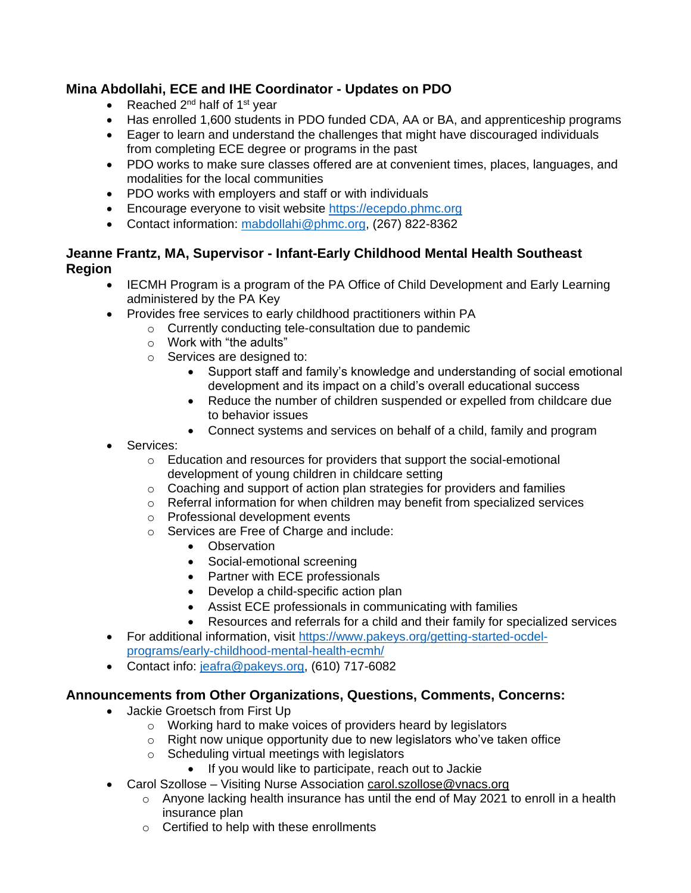# **Mina Abdollahi, ECE and IHE Coordinator - Updates on PDO**

- Reached  $2^{nd}$  half of 1<sup>st</sup> year
- Has enrolled 1,600 students in PDO funded CDA, AA or BA, and apprenticeship programs
- Eager to learn and understand the challenges that might have discouraged individuals from completing ECE degree or programs in the past
- PDO works to make sure classes offered are at convenient times, places, languages, and modalities for the local communities
- PDO works with employers and staff or with individuals
- Encourage everyone to visit website [https://ecepdo.phmc.org](https://ecepdo.phmc.org/)
- Contact information: [mabdollahi@phmc.org,](mailto:mabdollahi@phmc.org) (267) 822-8362

## **Jeanne Frantz, MA, Supervisor - Infant-Early Childhood Mental Health Southeast Region**

- IECMH Program is a program of the PA Office of Child Development and Early Learning administered by the PA Key
- Provides free services to early childhood practitioners within PA
	- o Currently conducting tele-consultation due to pandemic
		- o Work with "the adults"
		- o Services are designed to:
			- Support staff and family's knowledge and understanding of social emotional development and its impact on a child's overall educational success
			- Reduce the number of children suspended or expelled from childcare due to behavior issues
			- Connect systems and services on behalf of a child, family and program
- Services:
	- o Education and resources for providers that support the social-emotional development of young children in childcare setting
	- o Coaching and support of action plan strategies for providers and families
	- o Referral information for when children may benefit from specialized services
	- o Professional development events
	- o Services are Free of Charge and include:
		- Observation
		- Social-emotional screening
		- Partner with ECE professionals
		- Develop a child-specific action plan
		- Assist ECE professionals in communicating with families
		- Resources and referrals for a child and their family for specialized services
- For additional information, visit [https://www.pakeys.org/getting-started-ocdel](https://www.pakeys.org/getting-started-ocdel-programs/early-childhood-mental-health-ecmh/)[programs/early-childhood-mental-health-ecmh/](https://www.pakeys.org/getting-started-ocdel-programs/early-childhood-mental-health-ecmh/)
	-
- Contact info: [jeafra@pakeys.org,](mailto:jeafra@pakeys.org) (610) 717-6082

# **Announcements from Other Organizations, Questions, Comments, Concerns:**

- Jackie Groetsch from First Up
	- o Working hard to make voices of providers heard by legislators
	- $\circ$  Right now unique opportunity due to new legislators who've taken office
	- o Scheduling virtual meetings with legislators
		- If you would like to participate, reach out to Jackie
- Carol Szollose Visiting Nurse Association carol.szollose@vnacs.org
	- $\circ$  Anyone lacking health insurance has until the end of May 2021 to enroll in a health insurance plan
	- o Certified to help with these enrollments